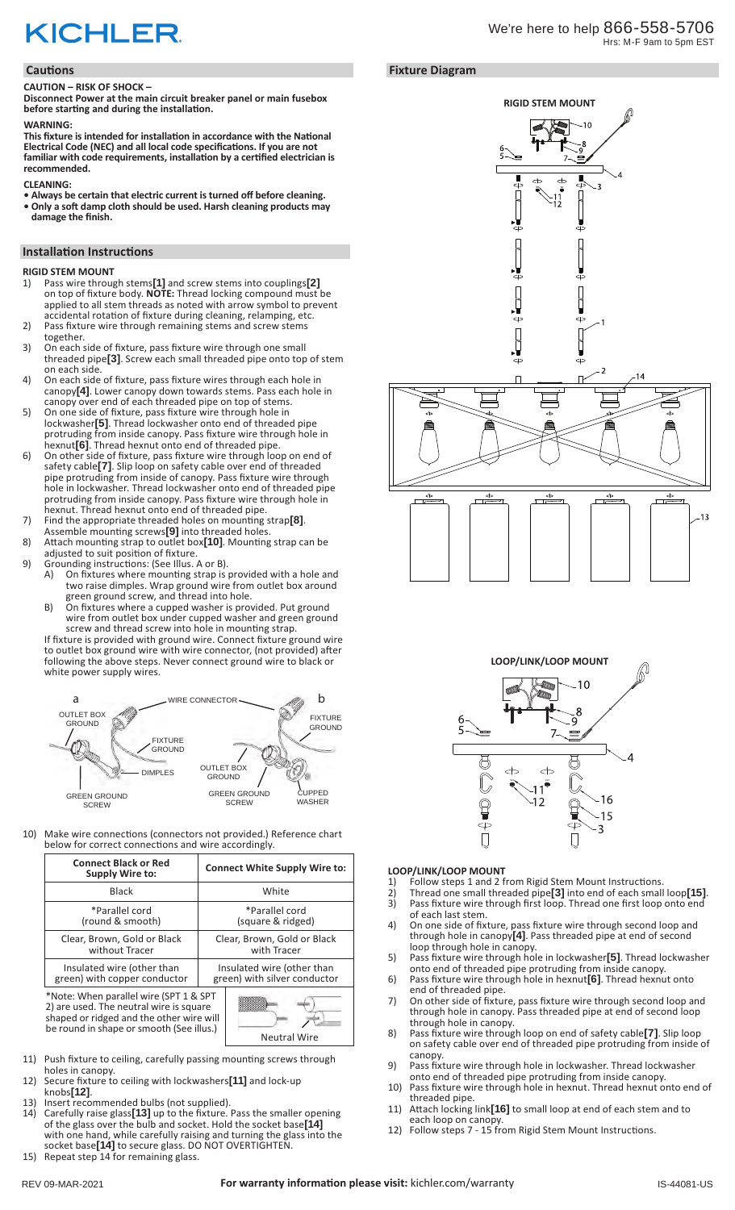# **KICHLER**

#### **Cautions**

#### **CAUTION – RISK OF SHOCK –**

**Disconnect Power at the main circuit breaker panel or main fusebox before starting and during the installation.** 

#### **WARNING:**

**This fixture is intended for installation in accordance with the National Electrical Code (NEC) and all local code specifications. If you are not familiar with code requirements, installation by a certified electrician is recommended.**

#### **CLEANING:**

- **Always be certain that electric current is turned off before cleaning.**
- **Only a soft damp cloth should be used. Harsh cleaning products may damage the finish.**

## **Installation Instructions**

- **RIGID STEM MOUNT**
- 1) Pass wire through stems**[1]** and screw stems into couplings**[2]** on top of fixture body. **NOTE:** Thread locking compound must be applied to all stem threads as noted with arrow symbol to prevent accidental rotation of fixture during cleaning, relamping, etc.
- 2) Pass fixture wire through remaining stems and screw stems together.
- 3) On each side of fixture, pass fixture wire through one small threaded pipe**[3]**. Screw each small threaded pipe onto top of stem on each side.
- 4) On each side of fixture, pass fixture wires through each hole in canopy**[4]**. Lower canopy down towards stems. Pass each hole in canopy over end of each threaded pipe on top of stems.
- 5) On one side of fixture, pass fixture wire through hole in lockwasher**[5]**. Thread lockwasher onto end of threaded pipe protruding from inside canopy. Pass fixture wire through hole in hexnut**[6]**. Thread hexnut onto end of threaded pipe.
- 6) On other side of fixture, pass fixture wire through loop on end of safety cable**[7]**. Slip loop on safety cable over end of threaded pipe protruding from inside of canopy. Pass fixture wire through hole in lockwasher. Thread lockwasher onto end of threaded pipe protruding from inside canopy. Pass fixture wire through hole in hexnut. Thread hexnut onto end of threaded pipe.
- 7) Find the appropriate threaded holes on mounting strap**[8]**.
- Assemble mounting screws**[9]** into threaded holes. 8) Attach mounting strap to outlet box**[10]**. Mounting strap can be
- adjusted to suit position of fixture.
- 9) Grounding instructions: (See Illus. A or B).<br>A) On fixtures where mounting strap is A) On fixtures where mounting strap is provided with a hole and two raise dimples. Wrap ground wire from outlet box around green ground screw, and thread into hole.
	- B) On fixtures where a cupped washer is provided. Put ground wire from outlet box under cupped washer and green ground screw and thread screw into hole in mounting strap.

If fixture is provided with ground wire. Connect fixture ground wire to outlet box ground wire with wire connector, (not provided) after following the above steps. Never connect ground wire to black or white power supply wires.



10) Make wire connections (connectors not provided.) Reference chart below for correct connections and wire accordingly.

| <b>Connect Black or Red</b><br>Supply Wire to:                                                                                                                                                   | <b>Connect White Supply Wire to:</b> |
|--------------------------------------------------------------------------------------------------------------------------------------------------------------------------------------------------|--------------------------------------|
| <b>Black</b>                                                                                                                                                                                     | White                                |
| *Parallel cord                                                                                                                                                                                   | *Parallel cord                       |
| (round & smooth)                                                                                                                                                                                 | (square & ridged)                    |
| Clear, Brown, Gold or Black                                                                                                                                                                      | Clear, Brown, Gold or Black          |
| without Tracer                                                                                                                                                                                   | with Tracer                          |
| Insulated wire (other than                                                                                                                                                                       | Insulated wire (other than           |
| green) with copper conductor                                                                                                                                                                     | green) with silver conductor         |
| *Note: When parallel wire (SPT 1 & SPT<br>2) are used. The neutral wire is square<br>shaped or ridged and the other wire will<br>be round in shape or smooth (See illus.)<br><b>Neutral Wire</b> |                                      |

- 11) Push fixture to ceiling, carefully passing mounting screws through holes in canopy.
- 12) Secure fixture to ceiling with lockwashers**[11]** and lock-up
- knobs**[12]**. 13) Insert recommended bulbs (not supplied).
- 14) Carefully raise glass**[13]** up to the fixture. Pass the smaller opening of the glass over the bulb and socket. Hold the socket base**[14]** with one hand, while carefully raising and turning the glass into the socket base**[14]** to secure glass. DO NOT OVERTIGHTEN. 15) Repeat step 14 for remaining glass.





 $\frac{1}{2}$  if  $\frac{1}{2}$ 





- **LOOP/LINK/LOOP MOUNT**<br>1) Follow steps 1 and 2 f 1) Follow steps 1 and 2 from Rigid Stem Mount Instructions.<br>2) Thread one small threaded pipe<sup>[3]</sup> into end of each small
- 2) Thread one small threaded pipe**[3]** into end of each small loop**[15]**. 3) Pass fixture wire through first loop. Thread one first loop onto end of each last stem.
- 4) On one side of fixture, pass fixture wire through second loop and through hole in canopy**[4]**. Pass threaded pipe at end of second loop through hole in canopy.
- 5) Pass fixture wire through hole in lockwasher**[5]**. Thread lockwasher onto end of threaded pipe protruding from inside canopy.
- 6) Pass fixture wire through hole in hexnut**[6]**. Thread hexnut onto end of threaded pipe.
- 7) On other side of fixture, pass fixture wire through second loop and through hole in canopy. Pass threaded pipe at end of second loop through hole in canopy.
- 8) Pass fixture wire through loop on end of safety cable**[7]**. Slip loop on safety cable over end of threaded pipe protruding from inside of canopy.
- 9) Pass fixture wire through hole in lockwasher. Thread lockwasher onto end of threaded pipe protruding from inside canopy.
- 10) Pass fixture wire through hole in hexnut. Thread hexnut onto end of threaded pipe.
- 11) Attach locking link**[16]** to small loop at end of each stem and to each loop on canopy.
- 12) Follow steps 7 15 from Rigid Stem Mount Instructions.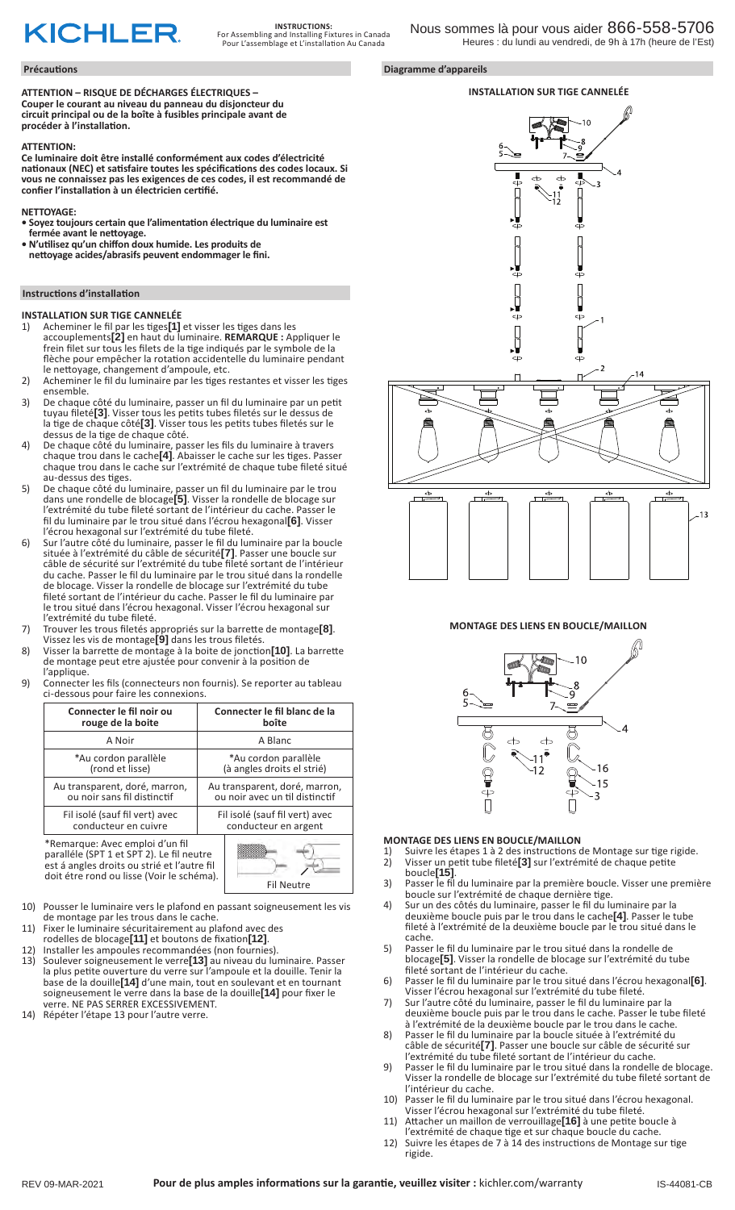# **KICHLER**

#### **Précautions Diagramme d'appareils**

**ATTENTION – RISQUE DE DÉCHARGES ÉLECTRIQUES – Couper le courant au niveau du panneau du disjoncteur du circuit principal ou de la boîte à fusibles principale avant de procéder à l'installation.**

#### **ATTENTION:**

**Ce luminaire doit être installé conformément aux codes d'électricité nationaux (NEC) et satisfaire toutes les spécifications des codes locaux. Si vous ne connaissez pas les exigences de ces codes, il est recommandé de confier l'installation à un électricien certifié.**

#### **NETTOYAGE:**

- **Soyez toujours certain que l'alimentation électrique du luminaire est fermée avant le nettoyage.**
- **N'utilisez qu'un chiffon doux humide. Les produits de nettoyage acides/abrasifs peuvent endommager le fini.**

#### **Instructions d'installation**

#### **INSTALLATION SUR TIGE CANNELÉE**

- 1) Acheminer le fil par les tiges**[1]** et visser les tiges dans les accouplements**[2]** en haut du luminaire. **REMARQUE :** Appliquer le frein filet sur tous les filets de la tige indiqués par le symbole de la flèche pour empêcher la rotation accidentelle du luminaire pendant le nettoyage, changement d'ampoule, etc.
- 2) Acheminer le fil du luminaire par les tiges restantes et visser les tiges ensemble.
- 3) De chaque côté du luminaire, passer un fil du luminaire par un petit tuyau fileté**[3]**. Visser tous les petits tubes filetés sur le dessus de la tige de chaque côté**[3]**. Visser tous les petits tubes filetés sur le dessus de la tige de chaque côté.
- 4) De chaque côté du luminaire, passer les fils du luminaire à travers chaque trou dans le cache**[4]**. Abaisser le cache sur les tiges. Passer chaque trou dans le cache sur l'extrémité de chaque tube fileté situé au-dessus des tiges.
- 5) De chaque côté du luminaire, passer un fil du luminaire par le trou dans une rondelle de blocage**[5]**. Visser la rondelle de blocage sur l'extrémité du tube fileté sortant de l'intérieur du cache. Passer le fil du luminaire par le trou situé dans l'écrou hexagonal**[6]**. Visser l'écrou hexagonal sur l'extrémité du tube fileté.
- 6) Sur l'autre côté du luminaire, passer le fil du luminaire par la boucle située à l'extrémité du câble de sécurité**[7]**. Passer une boucle sur câble de sécurité sur l'extrémité du tube fileté sortant de l'intérieur du cache. Passer le fil du luminaire par le trou situé dans la rondelle de blocage. Visser la rondelle de blocage sur l'extrémité du tube fileté sortant de l'intérieur du cache. Passer le fil du luminaire par le trou situé dans l'écrou hexagonal. Visser l'écrou hexagonal sur l'extrémité du tube fileté.
- 7) Trouver les trous filetés appropriés sur la barrette de montage**[8]**. Vissez les vis de montage**[9]** dans les trous filetés.
- 8) Visser la barrette de montage à la boite de jonction**[10]**. La barrette de montage peut etre ajustée pour convenir à la position de l'applique.
- 9) Connecter les fils (connecteurs non fournis). Se reporter au tableau ci-dessous pour faire les connexions.

| Connecter le fil noir ou                                                                                                    | Connecter le fil blanc de la   |
|-----------------------------------------------------------------------------------------------------------------------------|--------------------------------|
| rouge de la boite                                                                                                           | boîte                          |
| A Noir                                                                                                                      | A Blanc                        |
| *Au cordon parallèle                                                                                                        | *Au cordon parallèle           |
| (rond et lisse)                                                                                                             | (à angles droits el strié)     |
| Au transparent, doré, marron,                                                                                               | Au transparent, doré, marron,  |
| ou noir sans fil distinctif                                                                                                 | ou noir avec un til distinctif |
| Fil isolé (sauf fil vert) avec                                                                                              | Fil isolé (sauf fil vert) avec |
| conducteur en cuivre                                                                                                        | conducteur en argent           |
| *Remarque: Avec emploi d'un fil<br>paralléle (SPT 1 et SPT 2). Le fil neutre<br>oet ó angles droits ou strió et l'outre fil |                                |

á angles droits ou strié et l'autre fil doit étre rond ou lisse (Voir le schéma). Fil Neutre



- 10) Pousser le luminaire vers le plafond en passant soigneusement les vis de montage par les trous dans le cache.
- 11) Fixer le luminaire sécuritairement au plafond avec des
- rodelles de blocage**[11]** et boutons de fixation**[12]**.
- 12) Installer les ampoules recommandées (non fournies). 13) Soulever soigneusement le verre**[13]** au niveau du luminaire. Passer la plus petite ouverture du verre sur l'ampoule et la douille. Tenir la base de la douille**[14]** d'une main, tout en soulevant et en tournant soigneusement le verre dans la base de la douille**[14]** pour fixer le verre. NE PAS SERRER EXCESSIVEMENT.
- 14) Répéter l'étape 13 pour l'autre verre.







#### **MONTAGE DES LIENS EN BOUCLE/MAILLON**



#### **MONTAGE DES LIENS EN BOUCLE/MAILLON**

- 1) Suivre les étapes 1 à 2 des instructions de Montage sur tige rigide.<br>2) Visser un petit tube fileté<sup>[3]</sup> sur l'extrémité de chaque petite 2) Visser un petit tube fileté**[3]** sur l'extrémité de chaque petite boucle**[15]**.
- 3) Passer le fil du luminaire par la première boucle. Visser une première boucle sur l'extrémité de chaque dernière tige.
- 4) Sur un des côtés du luminaire, passer le fil du luminaire par la deuxième boucle puis par le trou dans le cache**[4]**. Passer le tube fileté à l'extrémité de la deuxième boucle par le trou situé dans le cache.
- 5) Passer le fil du luminaire par le trou situé dans la rondelle de blocage**[5]**. Visser la rondelle de blocage sur l'extrémité du tube fileté sortant de l'intérieur du cache.
- 6) Passer le fil du luminaire par le trou situé dans l'écrou hexagonal**[6]**. Visser l'écrou hexagonal sur l'extrémité du tube fileté.
- 7) Sur l'autre côté du luminaire, passer le fil du luminaire par la deuxième boucle puis par le trou dans le cache. Passer le tube fileté à l'extrémité de la deuxième boucle par le trou dans le cache.
- 8) Passer le fil du luminaire par la boucle située à l'extrémité du câble de sécurité**[7]**. Passer une boucle sur câble de sécurité sur l'extrémité du tube fileté sortant de l'intérieur du cache.
- 9) Passer le fil du luminaire par le trou situé dans la rondelle de blocage. Visser la rondelle de blocage sur l'extrémité du tube fileté sortant de l'intérieur du cache.
- 10) Passer le fil du luminaire par le trou situé dans l'écrou hexagonal. Visser l'écrou hexagonal sur l'extrémité du tube fileté.
- 11) Attacher un maillon de verrouillage**[16]** à une petite boucle à l'extrémité de chaque tige et sur chaque boucle du cache.
- 12) Suivre les étapes de 7 à 14 des instructions de Montage sur tige rigide.